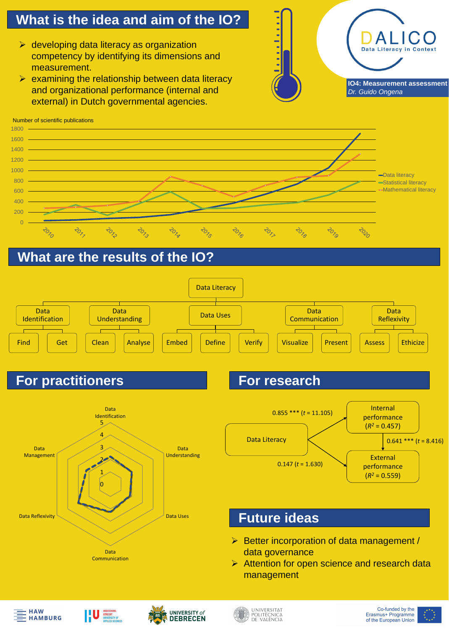## **What is the idea and aim of the IO?**

#### **What are the results of the IO?**

#### **Future ideas**

- ➢ developing data literacy as organization competency by identifying its dimensions and measurement.
- $\triangleright$  examining the relationship between data literacy and organizational performance (internal and external) in Dutch governmental agencies.





## **For practitioners For research**

 $\blacksquare$ 

 $\blacksquare$ 

 $\blacksquare$ 

 $\blacksquare$ 

 $\blacksquare$ 

# Data Literacy in Context **IO4: Measurement assessment** *Dr. Guido Ongena*





Data

Communication







Data Reflexivity

➢ Better incorporation of data management / data governance ➢ Attention for open science and research data management





| 1800 |  |  |
|------|--|--|
| 1600 |  |  |
| 1400 |  |  |
|      |  |  |
| 1200 |  |  |

Number of scientific publications